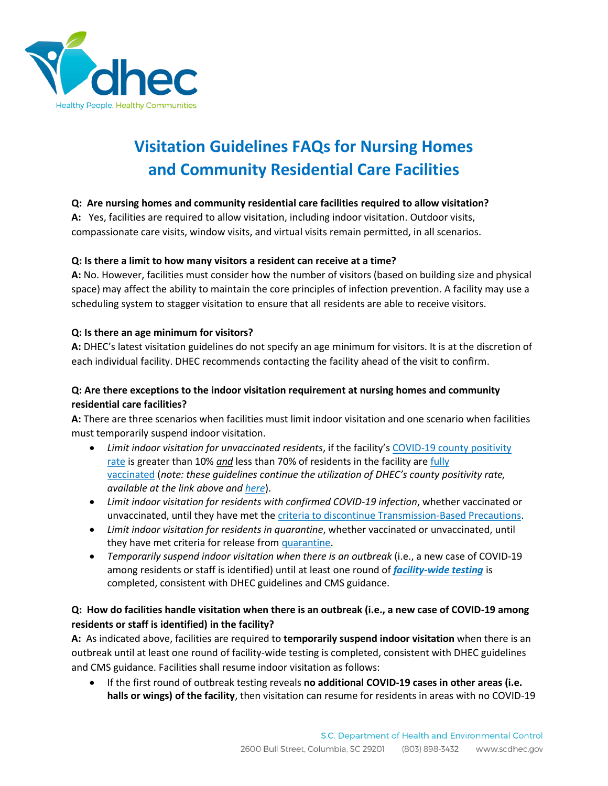

# **Visitation Guidelines FAQs for Nursing Homes and Community Residential Care Facilities**

# **Q: Are nursing homes and community residential care facilities required to allow visitation?**

**A:** Yes, facilities are required to allow visitation, including indoor visitation. Outdoor visits, compassionate care visits, window visits, and virtual visits remain permitted, in all scenarios.

## **Q: Is there a limit to how many visitors a resident can receive at a time?**

**A:** No. However, facilities must consider how the number of visitors (based on building size and physical space) may affect the ability to maintain the core principles of infection prevention. A facility may use a scheduling system to stagger visitation to ensure that all residents are able to receive visitors.

## **Q: Is there an age minimum for visitors?**

**A:** DHEC's latest visitation guidelines do not specify an age minimum for visitors. It is at the discretion of each individual facility. DHEC recommends contacting the facility ahead of the visit to confirm.

# **Q: Are there exceptions to the indoor visitation requirement at nursing homes and community residential care facilities?**

**A:** There are three scenarios when facilities must limit indoor visitation and one scenario when facilities must temporarily suspend indoor visitation.

- *Limit indoor visitation for unvaccinated residents*, if the facility's [COVID-19 county positivity](https://scdhec.gov/sites/default/files/media/document/COVID19-Recent_Disease_Activity-3_10_2021.pdf)  [rate](https://scdhec.gov/sites/default/files/media/document/COVID19-Recent_Disease_Activity-3_10_2021.pdf) is greater than 10% *and* less than 70% of residents in the facility are [fully](https://www.cdc.gov/coronavirus/2019-ncov/vaccines/fully-vaccinated-guidance.html)  [vaccinated](https://www.cdc.gov/coronavirus/2019-ncov/vaccines/fully-vaccinated-guidance.html) (*note: these guidelines continue the utilization of DHEC's county positivity rate, available at the link above and [here](https://scdhec.gov/sites/default/files/media/document/COVID19-Recent_Disease_Activity-3_10_2021.pdf)*).
- *Limit indoor visitation for residents with confirmed COVID-19 infection*, whether vaccinated or unvaccinated, until they have met the [criteria to discontinue Transmission-Based Precautions.](https://www.cdc.gov/coronavirus/2019-ncov/hcp/disposition-hospitalized-patients.html)
- *Limit indoor visitation for residents in quarantine*, whether vaccinated or unvaccinated, until they have met criteria for release from [quarantine.](https://www.cdc.gov/coronavirus/2019-ncov/hcp/infection-control-after-vaccination.html)
- *Temporarily suspend indoor visitation when there is an outbreak* (i.e., a new case of COVID-19 among residents or staff is identified) until at least one round of *[facility-wide testing](https://www.cms.gov/files/document/qso-20-38-nh.pdf)* is completed, consistent with DHEC guidelines and CMS guidance.

# **Q: How do facilities handle visitation when there is an outbreak (i.e., a new case of COVID-19 among residents or staff is identified) in the facility?**

**A:** As indicated above, facilities are required to **temporarily suspend indoor visitation** when there is an outbreak until at least one round of facility-wide testing is completed, consistent with DHEC guidelines and CMS guidance. Facilities shall resume indoor visitation as follows:

• If the first round of outbreak testing reveals **no additional COVID-19 cases in other areas (i.e. halls or wings) of the facility**, then visitation can resume for residents in areas with no COVID-19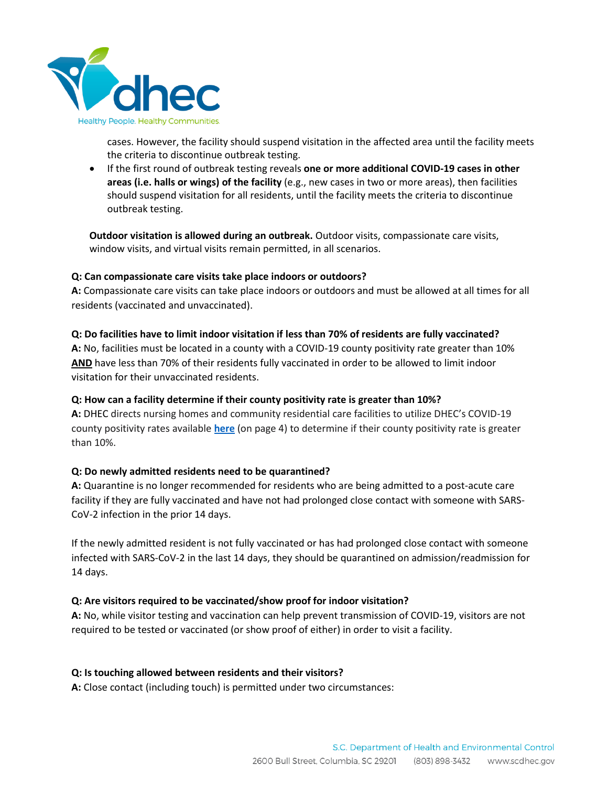

cases. However, the facility should suspend visitation in the affected area until the facility meets the criteria to discontinue outbreak testing.

• If the first round of outbreak testing reveals **one or more additional COVID-19 cases in other areas (i.e. halls or wings) of the facility** (e.g., new cases in two or more areas), then facilities should suspend visitation for all residents, until the facility meets the criteria to discontinue outbreak testing.

**Outdoor visitation is allowed during an outbreak.** Outdoor visits, compassionate care visits, window visits, and virtual visits remain permitted, in all scenarios.

## **Q: Can compassionate care visits take place indoors or outdoors?**

**A:** Compassionate care visits can take place indoors or outdoors and must be allowed at all times for all residents (vaccinated and unvaccinated).

## **Q: Do facilities have to limit indoor visitation if less than 70% of residents are fully vaccinated?**

**A:** No, facilities must be located in a county with a COVID-19 county positivity rate greater than 10% **AND** have less than 70% of their residents fully vaccinated in order to be allowed to limit indoor visitation for their unvaccinated residents.

# **Q: How can a facility determine if their county positivity rate is greater than 10%?**

**A:** DHEC directs nursing homes and community residential care facilities to utilize DHEC's COVID-19 county positivity rates available **[here](https://scdhec.gov/sites/default/files/media/document/COVID19-Recent-Disease-Activity-3_24_2021.pdf)** (on page 4) to determine if their county positivity rate is greater than 10%.

# **Q: Do newly admitted residents need to be quarantined?**

**A:** Quarantine is no longer recommended for residents who are being admitted to a post-acute care facility if they are fully vaccinated and have not had prolonged close contact with someone with SARS-CoV-2 infection in the prior 14 days.

If the newly admitted resident is not fully vaccinated or has had prolonged close contact with someone infected with SARS-CoV-2 in the last 14 days, they should be quarantined on admission/readmission for 14 days.

#### **Q: Are visitors required to be vaccinated/show proof for indoor visitation?**

**A:** No, while visitor testing and vaccination can help prevent transmission of COVID-19, visitors are not required to be tested or vaccinated (or show proof of either) in order to visit a facility.

#### **Q: Is touching allowed between residents and their visitors?**

**A:** Close contact (including touch) is permitted under two circumstances: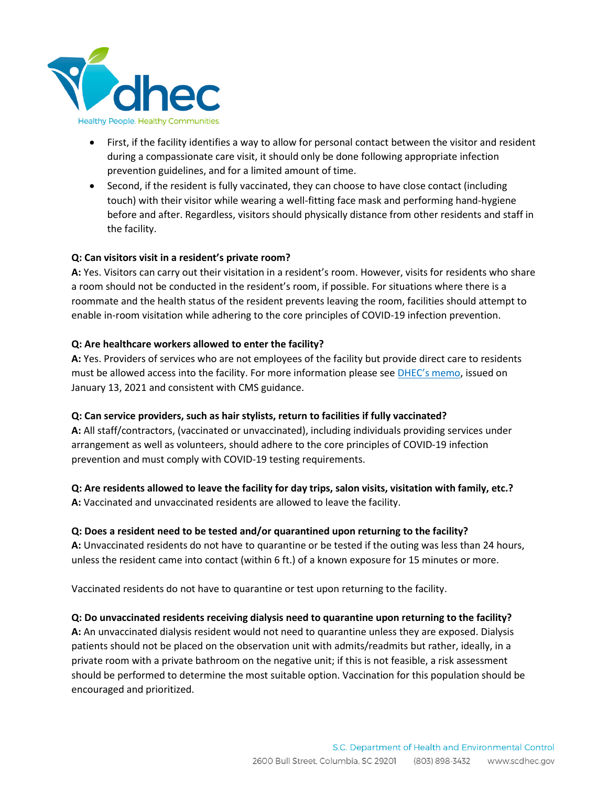

- First, if the facility identifies a way to allow for personal contact between the visitor and resident during a compassionate care visit, it should only be done following appropriate infection prevention guidelines, and for a limited amount of time.
- Second, if the resident is fully vaccinated, they can choose to have close contact (including touch) with their visitor while wearing a well-fitting face mask and performing hand-hygiene before and after. Regardless, visitors should physically distance from other residents and staff in the facility.

## **Q: Can visitors visit in a resident's private room?**

**A:** Yes. Visitors can carry out their visitation in a resident's room. However, visits for residents who share a room should not be conducted in the resident's room, if possible. For situations where there is a roommate and the health status of the resident prevents leaving the room, facilities should attempt to enable in-room visitation while adhering to the core principles of COVID-19 infection prevention.

## **Q: Are healthcare workers allowed to enter the facility?**

**A:** Yes. Providers of services who are not employees of the facility but provide direct care to residents must be allowed access into the facility. For more information please see [DHEC's memo](https://scdhec.gov/sites/default/files/media/document/COVID19-Entry-Healthcare-Workers-Memo-Jan-2021.pdf), issued on January 13, 2021 and consistent with CMS guidance.

#### **Q: Can service providers, such as hair stylists, return to facilities if fully vaccinated?**

**A:** All staff/contractors, (vaccinated or unvaccinated), including individuals providing services under arrangement as well as volunteers, should adhere to the core principles of COVID-19 infection prevention and must comply with COVID-19 testing requirements.

# **Q: Are residents allowed to leave the facility for day trips, salon visits, visitation with family, etc.?**

**A:** Vaccinated and unvaccinated residents are allowed to leave the facility.

# **Q: Does a resident need to be tested and/or quarantined upon returning to the facility?**

**A:** Unvaccinated residents do not have to quarantine or be tested if the outing was less than 24 hours, unless the resident came into contact (within 6 ft.) of a known exposure for 15 minutes or more.

Vaccinated residents do not have to quarantine or test upon returning to the facility.

# **Q: Do unvaccinated residents receiving dialysis need to quarantine upon returning to the facility?**

**A:** An unvaccinated dialysis resident would not need to quarantine unless they are exposed. Dialysis patients should not be placed on the observation unit with admits/readmits but rather, ideally, in a private room with a private bathroom on the negative unit; if this is not feasible, a risk assessment should be performed to determine the most suitable option. Vaccination for this population should be encouraged and prioritized.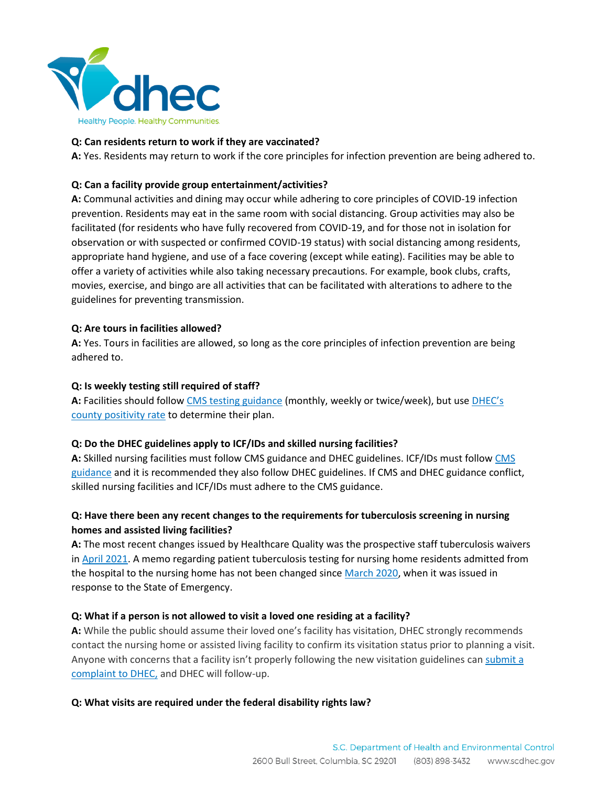

## **Q: Can residents return to work if they are vaccinated?**

**A:** Yes. Residents may return to work if the core principles for infection prevention are being adhered to.

## **Q: Can a facility provide group entertainment/activities?**

**A:** Communal activities and dining may occur while adhering to core principles of COVID-19 infection prevention. Residents may eat in the same room with social distancing. Group activities may also be facilitated (for residents who have fully recovered from COVID-19, and for those not in isolation for observation or with suspected or confirmed COVID-19 status) with social distancing among residents, appropriate hand hygiene, and use of a face covering (except while eating). Facilities may be able to offer a variety of activities while also taking necessary precautions. For example, book clubs, crafts, movies, exercise, and bingo are all activities that can be facilitated with alterations to adhere to the guidelines for preventing transmission.

#### **Q: Are tours in facilities allowed?**

**A:** Yes. Tours in facilities are allowed, so long as the core principles of infection prevention are being adhered to.

## **Q: Is weekly testing still required of staff?**

**A:** Facilities should follow [CMS testing guidance](https://www.cms.gov/files/document/qso-20-38-nh.pdf) (monthly, weekly or twice/week), but use [DHEC's](https://scdhec.gov/sites/default/files/media/document/COVID19-Recent-Disease-Activity-3_24_2021.pdf)  [county positivity rate](https://scdhec.gov/sites/default/files/media/document/COVID19-Recent-Disease-Activity-3_24_2021.pdf) to determine their plan.

# **Q: Do the DHEC guidelines apply to ICF/IDs and skilled nursing facilities?**

**A:** Skilled nursing facilities must follow CMS guidance and DHEC guidelines. ICF/IDs must follo[w CMS](https://www.cms.gov/files/document/qso-21-14-icf-iid-prtf.pdf)  [guidance](https://www.cms.gov/files/document/qso-21-14-icf-iid-prtf.pdf) and it is recommended they also follow DHEC guidelines. If CMS and DHEC guidance conflict, skilled nursing facilities and ICF/IDs must adhere to the CMS guidance.

# **Q: Have there been any recent changes to the requirements for tuberculosis screening in nursing homes and assisted living facilities?**

**A:** The most recent changes issued by Healthcare Quality was the prospective staff tuberculosis waivers in [April 2021.](https://scdhec.gov/sites/default/files/media/document/HCF-Staff-TB-Screening-Memo-4.3.20.pdf) A memo regarding patient tuberculosis testing for nursing home residents admitted from the hospital to the nursing home has not been changed since [March 2020,](https://scdhec.gov/sites/default/files/media/document/Nursing-Home-Patient-TB%20Screening-Memo-03-19-2020.pdf) when it was issued in response to the State of Emergency.

# **Q: What if a person is not allowed to visit a loved one residing at a facility?**

**A:** While the public should assume their loved one's facility has visitation, DHEC strongly recommends contact the nursing home or assisted living facility to confirm its visitation status prior to planning a visit. Anyone with concerns that a facility isn't properly following the new visitation guidelines can submit a [complaint to DHEC,](https://scdhec.gov/health-regulation/healthcare-facility-licensing/facility-specific-info/nursing-home-information-1) and DHEC will follow-up.

#### **Q: What visits are required under the federal disability rights law?**